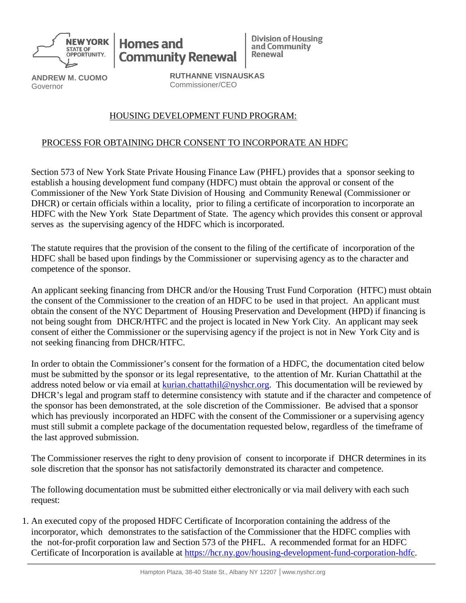

**Homes and Community Renewal**  **Division of Housing** and Community Renewal

**ANDREW M. CUOMO** Governor

**RUTHANNE VISNAUSKAS** Commissioner/CEO

## HOUSING DEVELOPMENT FUND PROGRAM:

## PROCESS FOR OBTAINING DHCR CONSENT TO INCORPORATE AN HDFC

Section 573 of New York State Private Housing Finance Law (PHFL) provides that a sponsor seeking to establish a housing development fund company (HDFC) must obtain the approval or consent of the Commissioner of the New York State Division of Housing and Community Renewal (Commissioner or DHCR) or certain officials within a locality, prior to filing a certificate of incorporation to incorporate an HDFC with the New York State Department of State. The agency which provides this consent or approval serves as the supervising agency of the HDFC which is incorporated.

The statute requires that the provision of the consent to the filing of the certificate of incorporation of the HDFC shall be based upon findings by the Commissioner or supervising agency as to the character and competence of the sponsor.

An applicant seeking financing from DHCR and/or the Housing Trust Fund Corporation (HTFC) must obtain the consent of the Commissioner to the creation of an HDFC to be used in that project. An applicant must obtain the consent of the NYC Department of Housing Preservation and Development (HPD) if financing is not being sought from DHCR/HTFC and the project is located in New York City. An applicant may seek consent of either the Commissioner or the supervising agency if the project is not in New York City and is not seeking financing from DHCR/HTFC.

In order to obtain the Commissioner's consent for the formation of a HDFC, the documentation cited below must be submitted by the sponsor or its legal representative, to the attention of Mr. Kurian Chattathil at the address noted below or via email at [kurian.chattathil@nyshcr.org.](mailto:kurian.chattathil@nyshcr.org) This documentation will be reviewed by DHCR's legal and program staff to determine consistency with statute and if the character and competence of the sponsor has been demonstrated, at the sole discretion of the Commissioner. Be advised that a sponsor which has previously incorporated an HDFC with the consent of the Commissioner or a supervising agency must still submit a complete package of the documentation requested below, regardless of the timeframe of the last approved submission.

The Commissioner reserves the right to deny provision of consent to incorporate if DHCR determines in its sole discretion that the sponsor has not satisfactorily demonstrated its character and competence.

The following documentation must be submitted either electronically or via mail delivery with each such request:

1. An executed copy of the proposed HDFC Certificate of Incorporation containing the address of the incorporator, which demonstrates to the satisfaction of the Commissioner that the HDFC complies with the not-for-profit corporation law and Section 573 of the PHFL. A recommended format for an HDFC Certificate of Incorporation is available at [https://hcr.ny.gov/housing-development-fund-corporation-hdfc.](https://hcr.ny.gov/housing-development-fund-corporation-hdfc)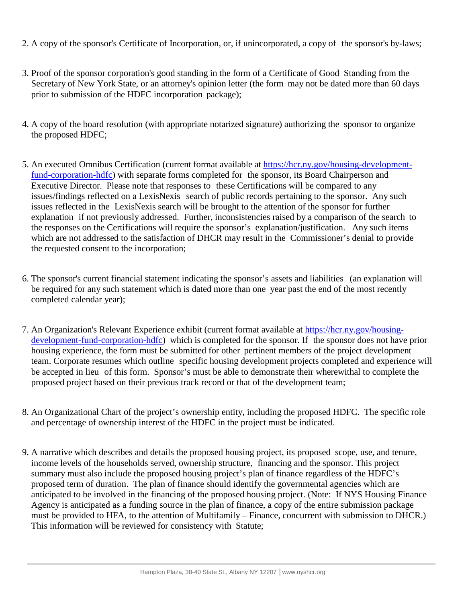- 2. A copy of the sponsor's Certificate of Incorporation, or, if unincorporated, a copy of the sponsor's by-laws;
- 3. Proof of the sponsor corporation's good standing in the form of a Certificate of Good Standing from the Secretary of New York State, or an attorney's opinion letter (the form may not be dated more than 60 days prior to submission of the HDFC incorporation package);
- 4. A copy of the board resolution (with appropriate notarized signature) authorizing the sponsor to organize the proposed HDFC;
- 5. An executed Omnibus Certification (current format available at [https://hcr.ny.gov/housing-development](https://hcr.ny.gov/housing-development-fund-corporation-hdfc)[fund-corporation-hdfc\)](https://hcr.ny.gov/housing-development-fund-corporation-hdfc) with separate forms completed for the sponsor, its Board Chairperson and Executive Director. Please note that responses to these Certifications will be compared to any issues/findings reflected on a LexisNexis search of public records pertaining to the sponsor. Any such issues reflected in the LexisNexis search will be brought to the attention of the sponsor for further explanation if not previously addressed. Further, inconsistencies raised by a comparison of the search to the responses on the Certifications will require the sponsor's explanation/justification. Any such items which are not addressed to the satisfaction of DHCR may result in the Commissioner's denial to provide the requested consent to the incorporation;
- 6. The sponsor's current financial statement indicating the sponsor's assets and liabilities (an explanation will be required for any such statement which is dated more than one year past the end of the most recently completed calendar year);
- 7. An Organization's Relevant Experience exhibit (current format available at [https://hcr.ny.gov/housing](https://hcr.ny.gov/housing-development-fund-corporation-hdfc)[development-fund-corporation-hdfc\)](https://hcr.ny.gov/housing-development-fund-corporation-hdfc) which is completed for the sponsor. If the sponsor does not have prior housing experience, the form must be submitted for other pertinent members of the project development team. Corporate resumes which outline specific housing development projects completed and experience will be accepted in lieu of this form. Sponsor's must be able to demonstrate their wherewithal to complete the proposed project based on their previous track record or that of the development team;
- 8. An Organizational Chart of the project's ownership entity, including the proposed HDFC. The specific role and percentage of ownership interest of the HDFC in the project must be indicated.
- 9. A narrative which describes and details the proposed housing project, its proposed scope, use, and tenure, income levels of the households served, ownership structure, financing and the sponsor. This project summary must also include the proposed housing project's plan of finance regardless of the HDFC's proposed term of duration. The plan of finance should identify the governmental agencies which are anticipated to be involved in the financing of the proposed housing project. (Note: If NYS Housing Finance Agency is anticipated as a funding source in the plan of finance, a copy of the entire submission package must be provided to HFA, to the attention of Multifamily – Finance, concurrent with submission to DHCR.) This information will be reviewed for consistency with Statute;